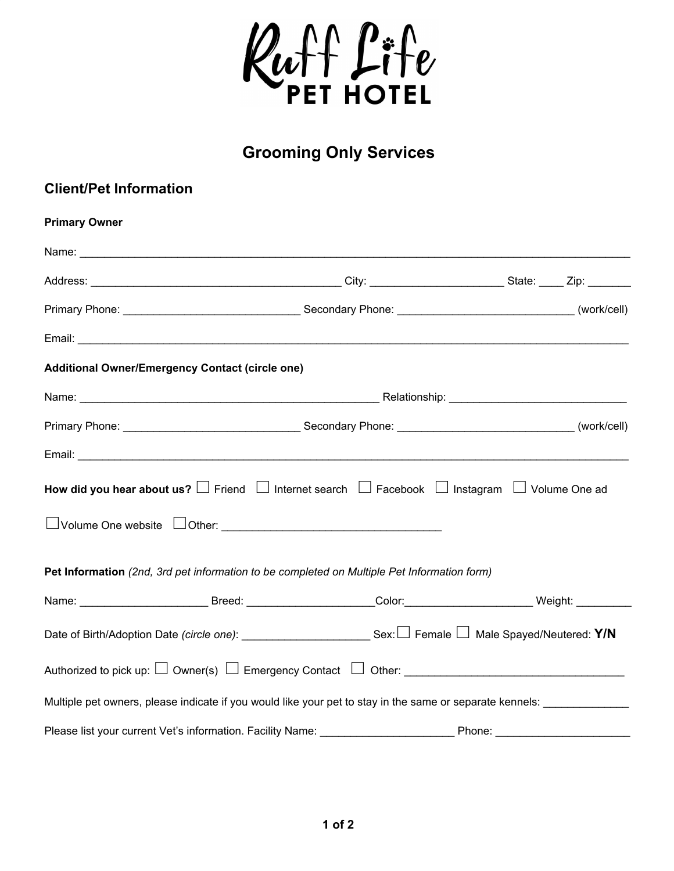

## **Grooming Only Services**

## **Client/Pet Information**

| <b>Primary Owner</b>                                                                                                       |  |  |  |
|----------------------------------------------------------------------------------------------------------------------------|--|--|--|
|                                                                                                                            |  |  |  |
|                                                                                                                            |  |  |  |
|                                                                                                                            |  |  |  |
|                                                                                                                            |  |  |  |
| <b>Additional Owner/Emergency Contact (circle one)</b>                                                                     |  |  |  |
|                                                                                                                            |  |  |  |
|                                                                                                                            |  |  |  |
|                                                                                                                            |  |  |  |
| How did you hear about us? $\Box$ Friend $\Box$ Internet search $\Box$ Facebook $\Box$ Instagram $\Box$ Volume One ad      |  |  |  |
|                                                                                                                            |  |  |  |
| Pet Information (2nd, 3rd pet information to be completed on Multiple Pet Information form)                                |  |  |  |
| Name: _____________________________Breed: _______________________Color:___________________________Weight: __________       |  |  |  |
| Date of Birth/Adoption Date (circle one): _____________________________Sex: $\Box$ Female $\Box$ Male Spayed/Neutered: Y/N |  |  |  |
|                                                                                                                            |  |  |  |
| Multiple pet owners, please indicate if you would like your pet to stay in the same or separate kennels: ______________    |  |  |  |
|                                                                                                                            |  |  |  |